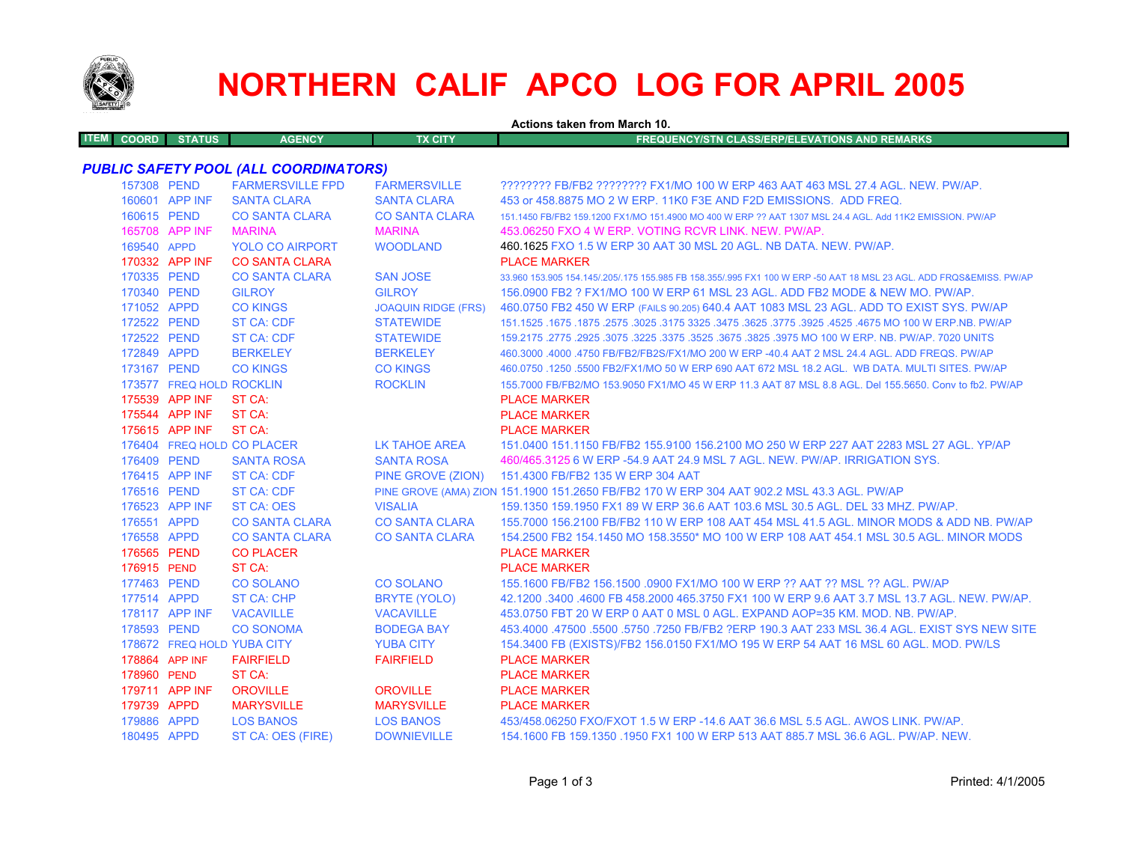

## **NORTHERN CALIF APCO LOG FOR APRIL 2005**

|                             | Actions taken from March 10. |                                              |                            |                                                                                                                     |  |  |
|-----------------------------|------------------------------|----------------------------------------------|----------------------------|---------------------------------------------------------------------------------------------------------------------|--|--|
| <b>ITEM</b><br><b>COORD</b> | <b>STATUS</b>                | <b>AGENCY</b>                                | <b>TX CITY</b>             | <b>FREQUENCY/STN CLASS/ERP/ELEVATIONS AND REMARKS</b>                                                               |  |  |
|                             |                              | <b>PUBLIC SAFETY POOL (ALL COORDINATORS)</b> |                            |                                                                                                                     |  |  |
|                             | 157308 PEND                  | <b>FARMERSVILLE FPD</b>                      | <b>FARMERSVILLE</b>        | ???????? FB/FB2 ???????? FX1/MO 100 W ERP 463 AAT 463 MSL 27.4 AGL. NEW. PW/AP.                                     |  |  |
|                             | 160601 APP INF               | <b>SANTA CLARA</b>                           | <b>SANTA CLARA</b>         | 453 or 458,8875 MO 2 W ERP, 11K0 F3E AND F2D EMISSIONS. ADD FREQ.                                                   |  |  |
|                             | 160615 PEND                  | <b>CO SANTA CLARA</b>                        | <b>CO SANTA CLARA</b>      | 151.1450 FB/FB2 159.1200 FX1/MO 151.4900 MO 400 W ERP ?? AAT 1307 MSL 24.4 AGL, Add 11K2 EMISSION, PW/AP            |  |  |
|                             | 165708 APP INF               | <b>MARINA</b>                                | <b>MARINA</b>              | 453,06250 FXO 4 W ERP, VOTING RCVR LINK, NEW, PW/AP,                                                                |  |  |
|                             | 169540 APPD                  | <b>YOLO CO AIRPORT</b>                       | <b>WOODLAND</b>            | 460.1625 FXO 1.5 W ERP 30 AAT 30 MSL 20 AGL. NB DATA. NEW. PW/AP.                                                   |  |  |
|                             | 170332 APP INF               | <b>CO SANTA CLARA</b>                        |                            | <b>PLACE MARKER</b>                                                                                                 |  |  |
|                             | 170335 PEND                  | <b>CO SANTA CLARA</b>                        | <b>SAN JOSE</b>            | 33,960 153,905 154,145/.205/.175 155,985 FB 158,355/.995 FX1 100 W ERP -50 AAT 18 MSL 23 AGL. ADD FRQS&EMISS, PW/AP |  |  |
|                             | 170340 PEND                  | <b>GILROY</b>                                | <b>GILROY</b>              | 156.0900 FB2 ? FX1/MO 100 W ERP 61 MSL 23 AGL. ADD FB2 MODE & NEW MO. PW/AP.                                        |  |  |
|                             | 171052 APPD                  | <b>CO KINGS</b>                              | <b>JOAQUIN RIDGE (FRS)</b> | 460.0750 FB2 450 W ERP (FAILS 90.205) 640.4 AAT 1083 MSL 23 AGL. ADD TO EXIST SYS. PW/AP                            |  |  |
|                             | 172522 PEND                  | ST CA: CDF                                   | <b>STATEWIDE</b>           | 1675.1675.1675 NO 100 W ERP.NB. PW/AP 325. 3475 325. 3475 325. 3475 3275 3275. 3675. 1675 1675. 1675 1675.1525      |  |  |
|                             | 172522 PEND                  | ST CA: CDF                                   | <b>STATEWIDE</b>           | 159.2175 .2775 .2925 .3075 .3225 .3375 .3525 .3675 .3825 .3975 MO 100 W ERP. NB. PW/AP. 7020 UNITS                  |  |  |
|                             | 172849 APPD                  | <b>BERKELEY</b>                              | <b>BERKELEY</b>            | 460.3000 .4000 .4750 FB/FB2/FB2S/FX1/MO 200 W ERP -40.4 AAT 2 MSL 24.4 AGL. ADD FREQS. PW/AP                        |  |  |
|                             | 173167 PEND                  | <b>CO KINGS</b>                              | <b>CO KINGS</b>            | 460.0750 .1250 .5500 FB2/FX1/MO 50 W ERP 690 AAT 672 MSL 18.2 AGL. WB DATA, MULTI SITES, PW/AP                      |  |  |
|                             | 173577 FREQ HOLD ROCKLIN     |                                              | <b>ROCKLIN</b>             | 155,7000 FB/FB2/MO 153,9050 FX1/MO 45 W ERP 11.3 AAT 87 MSL 8.8 AGL, Del 155,5650, Conv to fb2, PW/AP               |  |  |
|                             | 175539 APP INF               | ST CA:                                       |                            | <b>PLACE MARKER</b>                                                                                                 |  |  |
|                             | 175544 APP INF               | ST CA:                                       |                            | <b>PLACE MARKER</b>                                                                                                 |  |  |
|                             | 175615 APP INF               | ST CA:                                       |                            | <b>PLACE MARKER</b>                                                                                                 |  |  |
|                             | 176404 FREQ HOLD CO PLACER   |                                              | LK TAHOE AREA              | 151.0400 151.1150 FB/FB2 155.9100 156.2100 MO 250 W ERP 227 AAT 2283 MSL 27 AGL. YP/AP                              |  |  |
|                             | 176409 PEND                  | <b>SANTA ROSA</b>                            | <b>SANTA ROSA</b>          | 460/465.3125 6 W ERP -54.9 AAT 24.9 MSL 7 AGL. NEW. PW/AP. IRRIGATION SYS.                                          |  |  |
|                             | 176415 APP INF               | <b>ST CA: CDF</b>                            | PINE GROVE (ZION)          | 151.4300 FB/FB2 135 W ERP 304 AAT                                                                                   |  |  |
|                             | 176516 PEND                  | ST CA: CDF                                   |                            | PINE GROVE (AMA) ZION 151.1900 151.2650 FB/FB2 170 W ERP 304 AAT 902.2 MSL 43.3 AGL. PW/AP                          |  |  |
|                             | 176523 APP INF               | <b>ST CA: OES</b>                            | <b>VISALIA</b>             | 159.1350 159.1950 FX1 89 W ERP 36.6 AAT 103.6 MSL 30.5 AGL, DEL 33 MHZ, PW/AP,                                      |  |  |
|                             | 176551 APPD                  | <b>CO SANTA CLARA</b>                        | <b>CO SANTA CLARA</b>      | 155,7000 156,2100 FB/FB2 110 W ERP 108 AAT 454 MSL 41.5 AGL, MINOR MODS & ADD NB, PW/AP                             |  |  |
|                             | 176558 APPD                  | <b>CO SANTA CLARA</b>                        | <b>CO SANTA CLARA</b>      | 154.2500 FB2 154.1450 MO 158.3550* MO 100 W ERP 108 AAT 454.1 MSL 30.5 AGL. MINOR MODS                              |  |  |
|                             | 176565 PEND                  | <b>CO PLACER</b>                             |                            | <b>PLACE MARKER</b>                                                                                                 |  |  |
|                             | 176915 PEND                  | ST CA:                                       |                            | <b>PLACE MARKER</b>                                                                                                 |  |  |
|                             | 177463 PEND                  | <b>CO SOLANO</b>                             | <b>CO SOLANO</b>           | 155.1600 FB/FB2 156.1500 .0900 FX1/MO 100 W ERP ?? AAT ?? MSL ?? AGL. PW/AP                                         |  |  |
|                             | 177514 APPD                  | <b>ST CA: CHP</b>                            | <b>BRYTE (YOLO)</b>        | 42.1200 .3400 .4600 FB 458.2000 465.3750 FX1 100 W ERP 9.6 AAT 3.7 MSL 13.7 AGL. NEW. PW/AP.                        |  |  |
|                             | 178117 APP INF               | <b>VACAVILLE</b>                             | <b>VACAVILLE</b>           | 453.0750 FBT 20 W ERP 0 AAT 0 MSL 0 AGL. EXPAND AOP=35 KM, MOD, NB, PW/AP,                                          |  |  |
|                             | 178593 PEND                  | <b>CO SONOMA</b>                             | <b>BODEGA BAY</b>          | 453,4000 .47500 .5500 .5750 .7250 FB/FB2 ?ERP 190.3 AAT 233 MSL 36.4 AGL. EXIST SYS NEW SITE                        |  |  |
|                             | 178672 FREQ HOLD YUBA CITY   |                                              | <b>YUBA CITY</b>           | 154.3400 FB (EXISTS)/FB2 156.0150 FX1/MO 195 W ERP 54 AAT 16 MSL 60 AGL. MOD. PW/LS                                 |  |  |
|                             | 178864 APP INF               | <b>FAIRFIELD</b>                             | <b>FAIRFIELD</b>           | <b>PLACE MARKER</b>                                                                                                 |  |  |
|                             | 178960 PEND                  | ST CA:                                       |                            | <b>PLACE MARKER</b>                                                                                                 |  |  |
|                             | 179711 APP INF               | <b>OROVILLE</b>                              | <b>OROVILLE</b>            | <b>PLACE MARKER</b>                                                                                                 |  |  |
|                             | 179739 APPD                  | <b>MARYSVILLE</b>                            | <b>MARYSVILLE</b>          | <b>PLACE MARKER</b>                                                                                                 |  |  |
|                             | 179886 APPD                  | <b>LOS BANOS</b>                             | <b>LOS BANOS</b>           | 453/458.06250 FXO/FXOT 1.5 W ERP -14.6 AAT 36.6 MSL 5.5 AGL, AWOS LINK, PW/AP,                                      |  |  |
|                             | 180495 APPD                  | ST CA: OES (FIRE)                            | <b>DOWNIEVILLE</b>         | 154.1600 FB 159.1350 .1950 FX1 100 W ERP 513 AAT 885.7 MSL 36.6 AGL. PW/AP. NEW.                                    |  |  |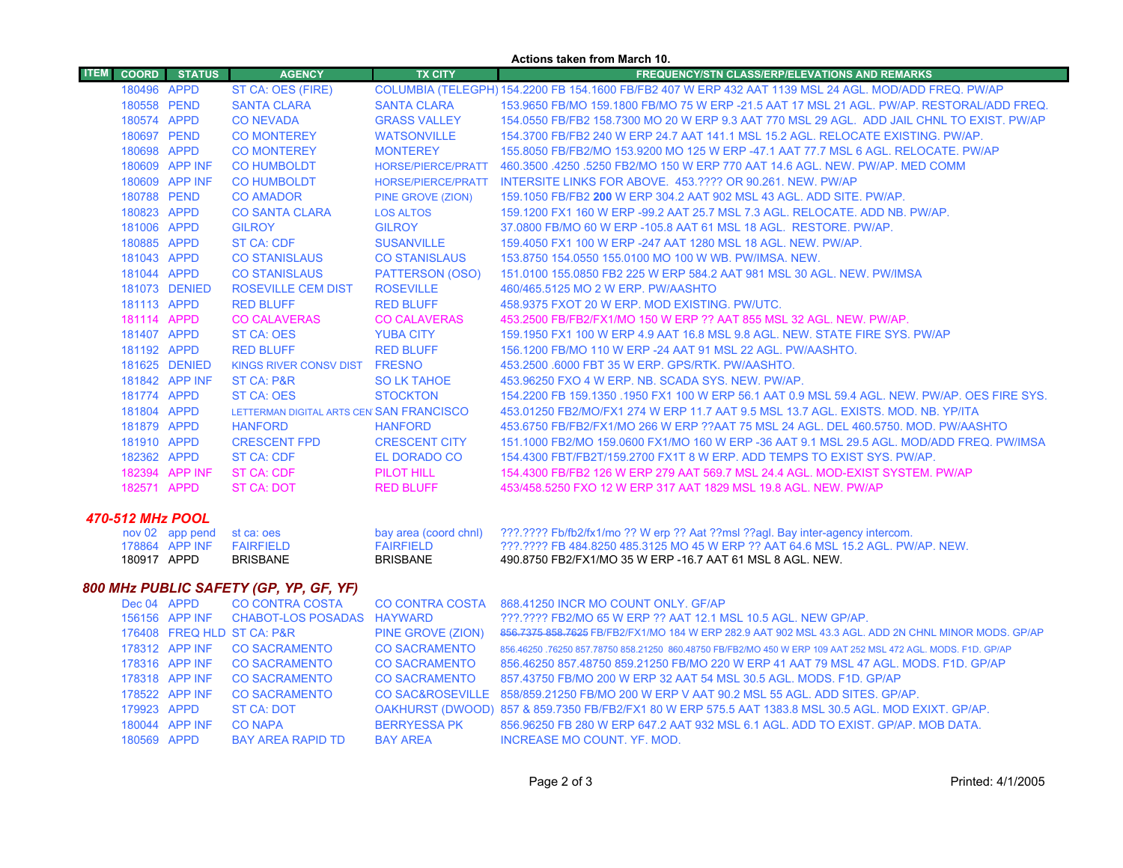| <b>Actions taken from March 10.</b>    |              |                                   |                                          |                                           |                                                                                                                                                                   |  |  |  |
|----------------------------------------|--------------|-----------------------------------|------------------------------------------|-------------------------------------------|-------------------------------------------------------------------------------------------------------------------------------------------------------------------|--|--|--|
| <b>ITEM</b>                            | <b>COORD</b> | <b>STATUS</b>                     | <b>AGENCY</b>                            | <b>TX CITY</b>                            | <b>FREQUENCY/STN CLASS/ERP/ELEVATIONS AND REMARKS</b>                                                                                                             |  |  |  |
|                                        | 180496 APPD  |                                   | ST CA: OES (FIRE)                        |                                           | COLUMBIA (TELEGPH) 154.2200 FB 154.1600 FB/FB2 407 W ERP 432 AAT 1139 MSL 24 AGL. MOD/ADD FREQ. PW/AP                                                             |  |  |  |
|                                        | 180558 PEND  |                                   | <b>SANTA CLARA</b>                       | <b>SANTA CLARA</b>                        | 153.9650 FB/MO 159.1800 FB/MO 75 W ERP -21.5 AAT 17 MSL 21 AGL. PW/AP. RESTORAL/ADD FREQ.                                                                         |  |  |  |
|                                        | 180574 APPD  |                                   | <b>CO NEVADA</b>                         | <b>GRASS VALLEY</b>                       | 154.0550 FB/FB2 158.7300 MO 20 W ERP 9.3 AAT 770 MSL 29 AGL. ADD JAIL CHNL TO EXIST. PW/AP                                                                        |  |  |  |
|                                        | 180697 PEND  |                                   | <b>CO MONTEREY</b>                       | <b>WATSONVILLE</b>                        | 154.3700 FB/FB2 240 W ERP 24.7 AAT 141.1 MSL 15.2 AGL. RELOCATE EXISTING. PW/AP.                                                                                  |  |  |  |
|                                        | 180698 APPD  |                                   | <b>CO MONTEREY</b>                       | <b>MONTEREY</b>                           | 155.8050 FB/FB2/MO 153.9200 MO 125 W ERP -47.1 AAT 77.7 MSL 6 AGL. RELOCATE. PW/AP                                                                                |  |  |  |
|                                        |              | 180609 APP INF                    | <b>CO HUMBOLDT</b>                       | <b>HORSE/PIERCE/PRATT</b>                 | 460.3500 .4250 .5250 FB2/MO 150 W ERP 770 AAT 14.6 AGL, NEW, PW/AP, MED COMM                                                                                      |  |  |  |
|                                        |              | 180609 APP INF                    | <b>CO HUMBOLDT</b>                       | <b>HORSE/PIERCE/PRATT</b>                 | INTERSITE LINKS FOR ABOVE. 453.???? OR 90.261. NEW. PW/AP                                                                                                         |  |  |  |
|                                        | 180788 PEND  |                                   | <b>CO AMADOR</b>                         | PINE GROVE (ZION)                         | 159.1050 FB/FB2 200 W ERP 304.2 AAT 902 MSL 43 AGL. ADD SITE. PW/AP.                                                                                              |  |  |  |
|                                        | 180823 APPD  |                                   | <b>CO SANTA CLARA</b>                    | <b>LOS ALTOS</b>                          | 159.1200 FX1 160 W ERP -99.2 AAT 25.7 MSL 7.3 AGL. RELOCATE. ADD NB. PW/AP.                                                                                       |  |  |  |
|                                        | 181006 APPD  |                                   | <b>GILROY</b>                            | <b>GILROY</b>                             | 37.0800 FB/MO 60 W ERP -105.8 AAT 61 MSL 18 AGL. RESTORE. PW/AP.                                                                                                  |  |  |  |
|                                        | 180885 APPD  |                                   | ST CA: CDF                               | <b>SUSANVILLE</b>                         | 159,4050 FX1 100 W ERP -247 AAT 1280 MSL 18 AGL, NEW, PW/AP.                                                                                                      |  |  |  |
|                                        | 181043 APPD  |                                   | <b>CO STANISLAUS</b>                     | <b>CO STANISLAUS</b>                      | 153.8750 154.0550 155.0100 MO 100 W WB, PW/IMSA, NEW.                                                                                                             |  |  |  |
|                                        | 181044 APPD  |                                   | <b>CO STANISLAUS</b>                     | PATTERSON (OSO)                           | 151.0100 155.0850 FB2 225 W ERP 584.2 AAT 981 MSL 30 AGL. NEW. PW/IMSA                                                                                            |  |  |  |
|                                        |              | 181073 DENIED                     | ROSEVILLE CEM DIST                       | <b>ROSEVILLE</b>                          | 460/465.5125 MO 2 W ERP. PW/AASHTO                                                                                                                                |  |  |  |
|                                        | 181113 APPD  |                                   | <b>RED BLUFF</b>                         | <b>RED BLUFF</b>                          | 458.9375 FXOT 20 W ERP. MOD EXISTING. PW/UTC.                                                                                                                     |  |  |  |
|                                        | 181114 APPD  |                                   | <b>CO CALAVERAS</b>                      | <b>CO CALAVERAS</b>                       | 453.2500 FB/FB2/FX1/MO 150 W ERP ?? AAT 855 MSL 32 AGL. NEW. PW/AP.                                                                                               |  |  |  |
|                                        | 181407 APPD  |                                   | <b>ST CA: OES</b>                        | <b>YUBA CITY</b>                          | 159.1950 FX1 100 W ERP 4.9 AAT 16.8 MSL 9.8 AGL. NEW. STATE FIRE SYS. PW/AP                                                                                       |  |  |  |
|                                        | 181192 APPD  |                                   | <b>RED BLUFF</b>                         | <b>RED BLUFF</b>                          | 156.1200 FB/MO 110 W ERP -24 AAT 91 MSL 22 AGL. PW/AASHTO.                                                                                                        |  |  |  |
|                                        |              | 181625 DENIED                     | KINGS RIVER CONSV DIST FRESNO            |                                           | 453.2500 .6000 FBT 35 W ERP. GPS/RTK. PW/AASHTO.                                                                                                                  |  |  |  |
|                                        |              | 181842 APP INF                    | ST CA: P&R                               | <b>SO LK TAHOE</b>                        | 453.96250 FXO 4 W ERP. NB. SCADA SYS. NEW. PW/AP.                                                                                                                 |  |  |  |
|                                        | 181774 APPD  |                                   | <b>ST CA: OES</b>                        | <b>STOCKTON</b>                           | 154,2200 FB 159,1350 ,1950 FX1 100 W ERP 56.1 AAT 0.9 MSL 59.4 AGL, NEW, PW/AP, OES FIRE SYS.                                                                     |  |  |  |
|                                        | 181804 APPD  |                                   | LETTERMAN DIGITAL ARTS CEN SAN FRANCISCO |                                           | 453.01250 FB2/MO/FX1 274 W ERP 11.7 AAT 9.5 MSL 13.7 AGL, EXISTS, MOD, NB, YP/ITA                                                                                 |  |  |  |
|                                        | 181879 APPD  |                                   | <b>HANFORD</b>                           | <b>HANFORD</b>                            | 453.6750 FB/FB2/FX1/MO 266 W ERP ??AAT 75 MSL 24 AGL. DEL 460.5750. MOD. PW/AASHTO                                                                                |  |  |  |
|                                        | 181910 APPD  |                                   | <b>CRESCENT FPD</b>                      | <b>CRESCENT CITY</b>                      | 151.1000 FB2/MO 159.0600 FX1/MO 160 W ERP -36 AAT 9.1 MSL 29.5 AGL. MOD/ADD FREQ. PW/IMSA                                                                         |  |  |  |
|                                        | 182362 APPD  |                                   | ST CA: CDF                               | EL DORADO CO                              | 154.4300 FBT/FB2T/159.2700 FX1T 8 W ERP. ADD TEMPS TO EXIST SYS. PW/AP.                                                                                           |  |  |  |
|                                        |              | 182394 APP INF                    | ST CA: CDF                               | PILOT HILL                                | 154.4300 FB/FB2 126 W ERP 279 AAT 569.7 MSL 24.4 AGL. MOD-EXIST SYSTEM. PW/AP                                                                                     |  |  |  |
|                                        | 182571 APPD  |                                   | <b>ST CA: DOT</b>                        | <b>RED BLUFF</b>                          | 453/458.5250 FXO 12 W ERP 317 AAT 1829 MSL 19.8 AGL. NEW. PW/AP                                                                                                   |  |  |  |
| 470-512 MHz POOL                       |              |                                   |                                          |                                           |                                                                                                                                                                   |  |  |  |
|                                        |              |                                   |                                          |                                           |                                                                                                                                                                   |  |  |  |
|                                        |              | nov 02 app pend<br>178864 APP INF | st ca: oes<br><b>FAIRFIELD</b>           | bay area (coord chnl)<br><b>FAIRFIELD</b> | ???.???? Fb/fb2/fx1/mo ?? W erp ?? Aat ??msl ??agl. Bay inter-agency intercom.<br>???.???? FB 484.8250 485.3125 MO 45 W ERP ?? AAT 64.6 MSL 15.2 AGL, PW/AP, NEW. |  |  |  |
|                                        | 180917 APPD  |                                   | <b>BRISBANE</b>                          | <b>BRISBANE</b>                           | 490.8750 FB2/FX1/MO 35 W ERP -16.7 AAT 61 MSL 8 AGL. NEW.                                                                                                         |  |  |  |
|                                        |              |                                   |                                          |                                           |                                                                                                                                                                   |  |  |  |
| 800 MHz PUBLIC SAFETY (GP, YP, GF, YF) |              |                                   |                                          |                                           |                                                                                                                                                                   |  |  |  |
|                                        | Dec 04 APPD  |                                   | <b>CO CONTRA COSTA</b>                   | <b>CO CONTRA COSTA</b>                    | 868.41250 INCR MO COUNT ONLY. GF/AP                                                                                                                               |  |  |  |
|                                        |              | 156156 APP INF                    | CHABOT-LOS POSADAS HAYWARD               |                                           | ???.???? FB2/MO 65 W ERP ?? AAT 12.1 MSL 10.5 AGL. NEW GP/AP.                                                                                                     |  |  |  |
|                                        |              |                                   | 176408 FREQ HLD ST CA: P&R               | PINE GROVE (ZION)                         | 856.7375 858.7625 FB/FB2/FX1/MO 184 W ERP 282.9 AAT 902 MSL 43.3 AGL. ADD 2N CHNL MINOR MODS. GP/AP                                                               |  |  |  |
|                                        |              | 178312 APP INF                    | <b>CO SACRAMENTO</b>                     | <b>CO SACRAMENTO</b>                      | 856.46250 .76250 857.78750 858.21250 860.48750 FB/FB2/MO 450 W ERP 109 AAT 252 MSL 472 AGL. MODS. F1D. GP/AP                                                      |  |  |  |
|                                        |              | 178316 APP INF                    | <b>CO SACRAMENTO</b>                     | <b>CO SACRAMENTO</b>                      | 856.46250 857.48750 859.21250 FB/MO 220 W ERP 41 AAT 79 MSL 47 AGL. MODS. F1D. GP/AP                                                                              |  |  |  |
|                                        |              | 178318 APP INF                    | <b>CO SACRAMENTO</b>                     | <b>CO SACRAMENTO</b>                      | 857.43750 FB/MO 200 W ERP 32 AAT 54 MSL 30.5 AGL. MODS. F1D. GP/AP                                                                                                |  |  |  |
|                                        |              | 178522 APP INF                    | <b>CO SACRAMENTO</b>                     | <b>CO SAC&amp;ROSEVILLE</b>               | 858/859.21250 FB/MO 200 W ERP V AAT 90.2 MSL 55 AGL. ADD SITES. GP/AP.                                                                                            |  |  |  |
|                                        | 179923 APPD  |                                   | ST CA: DOT                               |                                           | OAKHURST (DWOOD) 857 & 859.7350 FB/FB2/FX1 80 W ERP 575.5 AAT 1383.8 MSL 30.5 AGL. MOD EXIXT. GP/AP.                                                              |  |  |  |
|                                        |              | 180044 APP INF                    | <b>CO NAPA</b>                           | <b>BERRYESSA PK</b>                       | 856.96250 FB 280 W ERP 647.2 AAT 932 MSL 6.1 AGL. ADD TO EXIST. GP/AP. MOB DATA.                                                                                  |  |  |  |

APPD BAY AREA RAPID TD BAY AREA INCREASE MO COUNT. YF. MOD.